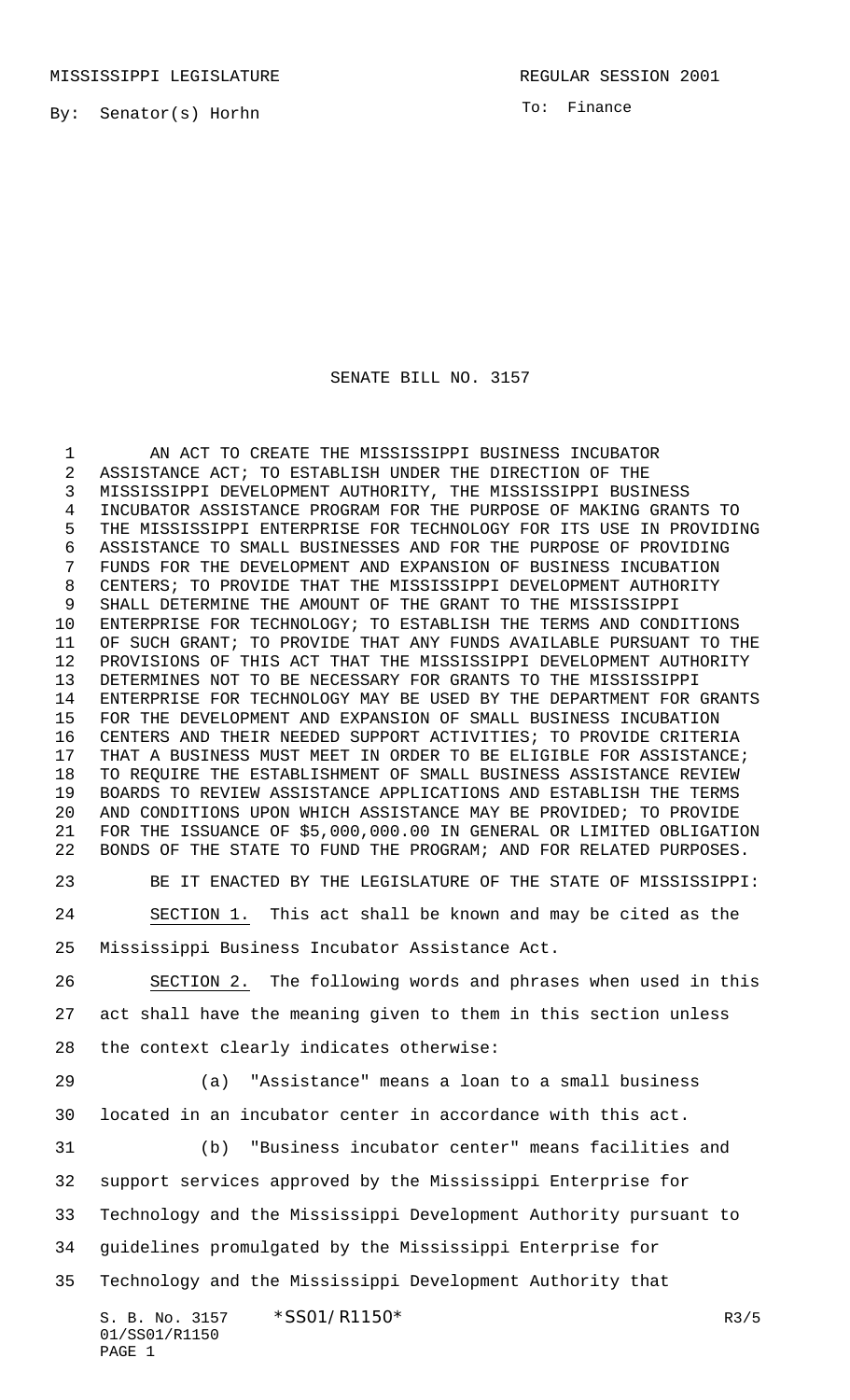By: Senator(s) Horhn

To: Finance

## SENATE BILL NO. 3157

 AN ACT TO CREATE THE MISSISSIPPI BUSINESS INCUBATOR ASSISTANCE ACT; TO ESTABLISH UNDER THE DIRECTION OF THE MISSISSIPPI DEVELOPMENT AUTHORITY, THE MISSISSIPPI BUSINESS INCUBATOR ASSISTANCE PROGRAM FOR THE PURPOSE OF MAKING GRANTS TO THE MISSISSIPPI ENTERPRISE FOR TECHNOLOGY FOR ITS USE IN PROVIDING ASSISTANCE TO SMALL BUSINESSES AND FOR THE PURPOSE OF PROVIDING FUNDS FOR THE DEVELOPMENT AND EXPANSION OF BUSINESS INCUBATION CENTERS; TO PROVIDE THAT THE MISSISSIPPI DEVELOPMENT AUTHORITY SHALL DETERMINE THE AMOUNT OF THE GRANT TO THE MISSISSIPPI ENTERPRISE FOR TECHNOLOGY; TO ESTABLISH THE TERMS AND CONDITIONS OF SUCH GRANT; TO PROVIDE THAT ANY FUNDS AVAILABLE PURSUANT TO THE PROVISIONS OF THIS ACT THAT THE MISSISSIPPI DEVELOPMENT AUTHORITY DETERMINES NOT TO BE NECESSARY FOR GRANTS TO THE MISSISSIPPI ENTERPRISE FOR TECHNOLOGY MAY BE USED BY THE DEPARTMENT FOR GRANTS FOR THE DEVELOPMENT AND EXPANSION OF SMALL BUSINESS INCUBATION CENTERS AND THEIR NEEDED SUPPORT ACTIVITIES; TO PROVIDE CRITERIA THAT A BUSINESS MUST MEET IN ORDER TO BE ELIGIBLE FOR ASSISTANCE; TO REQUIRE THE ESTABLISHMENT OF SMALL BUSINESS ASSISTANCE REVIEW BOARDS TO REVIEW ASSISTANCE APPLICATIONS AND ESTABLISH THE TERMS AND CONDITIONS UPON WHICH ASSISTANCE MAY BE PROVIDED; TO PROVIDE FOR THE ISSUANCE OF \$5,000,000.00 IN GENERAL OR LIMITED OBLIGATION BONDS OF THE STATE TO FUND THE PROGRAM; AND FOR RELATED PURPOSES.

BE IT ENACTED BY THE LEGISLATURE OF THE STATE OF MISSISSIPPI:

 SECTION 1. This act shall be known and may be cited as the Mississippi Business Incubator Assistance Act.

 SECTION 2. The following words and phrases when used in this act shall have the meaning given to them in this section unless the context clearly indicates otherwise:

 (a) "Assistance" means a loan to a small business located in an incubator center in accordance with this act.

 (b) "Business incubator center" means facilities and support services approved by the Mississippi Enterprise for Technology and the Mississippi Development Authority pursuant to guidelines promulgated by the Mississippi Enterprise for Technology and the Mississippi Development Authority that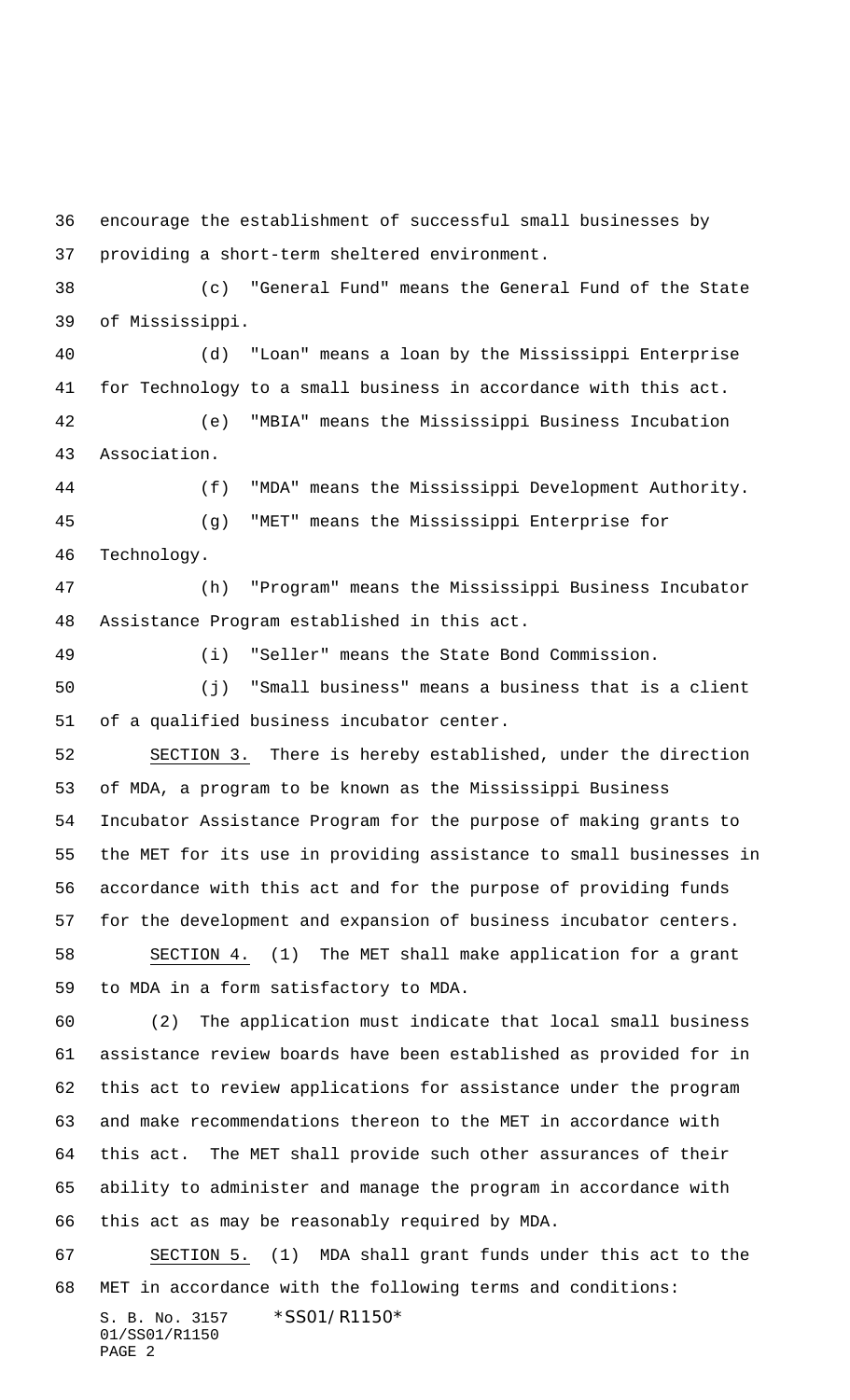encourage the establishment of successful small businesses by providing a short-term sheltered environment.

 (c) "General Fund" means the General Fund of the State of Mississippi.

 (d) "Loan" means a loan by the Mississippi Enterprise for Technology to a small business in accordance with this act. (e) "MBIA" means the Mississippi Business Incubation Association.

 (f) "MDA" means the Mississippi Development Authority. (g) "MET" means the Mississippi Enterprise for Technology.

 (h) "Program" means the Mississippi Business Incubator Assistance Program established in this act.

(i) "Seller" means the State Bond Commission.

 (j) "Small business" means a business that is a client of a qualified business incubator center.

 SECTION 3. There is hereby established, under the direction of MDA, a program to be known as the Mississippi Business Incubator Assistance Program for the purpose of making grants to the MET for its use in providing assistance to small businesses in accordance with this act and for the purpose of providing funds for the development and expansion of business incubator centers.

 SECTION 4. (1) The MET shall make application for a grant to MDA in a form satisfactory to MDA.

 (2) The application must indicate that local small business assistance review boards have been established as provided for in this act to review applications for assistance under the program and make recommendations thereon to the MET in accordance with this act. The MET shall provide such other assurances of their ability to administer and manage the program in accordance with this act as may be reasonably required by MDA.

 SECTION 5. (1) MDA shall grant funds under this act to the MET in accordance with the following terms and conditions: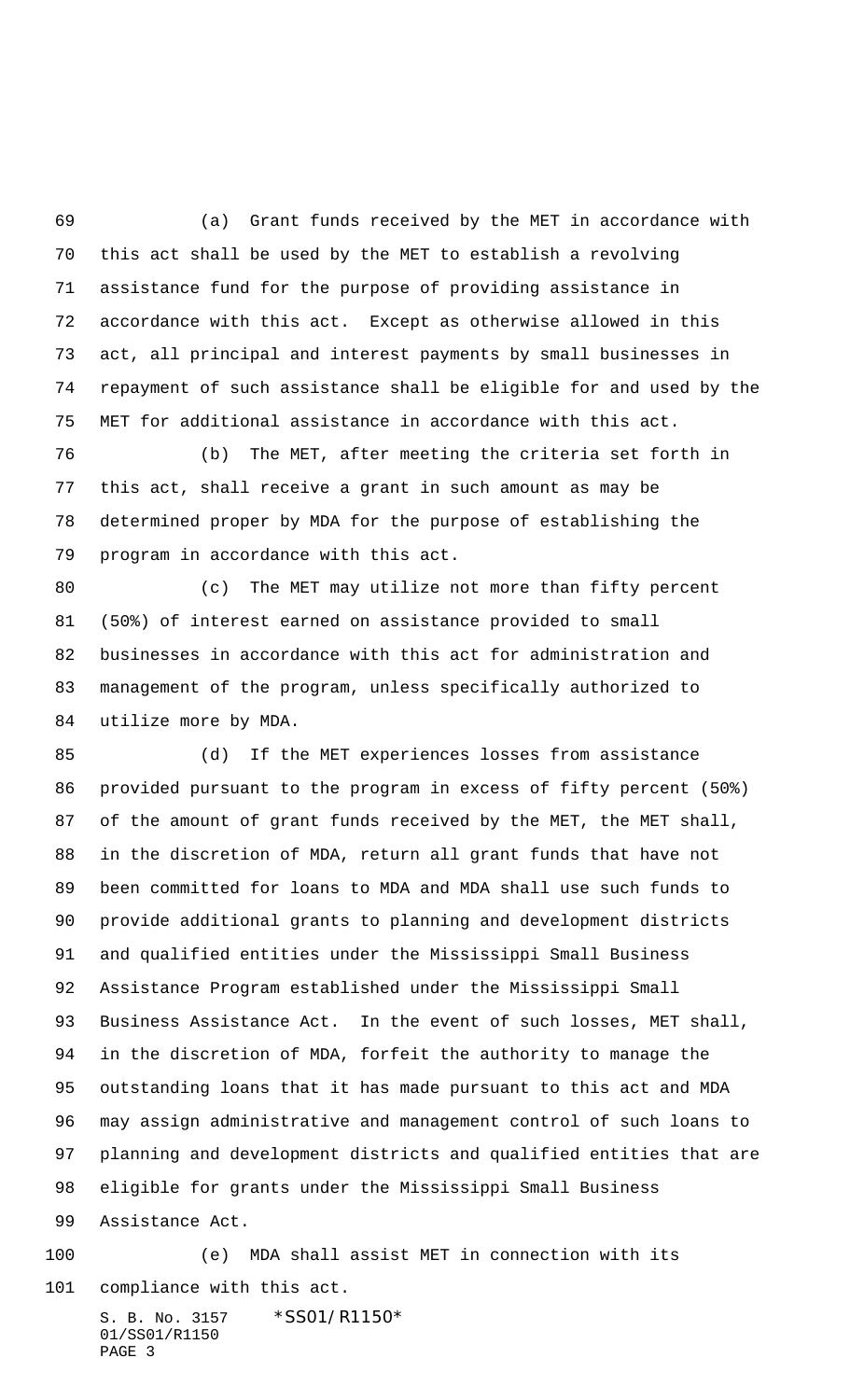(a) Grant funds received by the MET in accordance with this act shall be used by the MET to establish a revolving assistance fund for the purpose of providing assistance in accordance with this act. Except as otherwise allowed in this act, all principal and interest payments by small businesses in repayment of such assistance shall be eligible for and used by the MET for additional assistance in accordance with this act.

 (b) The MET, after meeting the criteria set forth in this act, shall receive a grant in such amount as may be determined proper by MDA for the purpose of establishing the program in accordance with this act.

 (c) The MET may utilize not more than fifty percent (50%) of interest earned on assistance provided to small businesses in accordance with this act for administration and management of the program, unless specifically authorized to utilize more by MDA.

 (d) If the MET experiences losses from assistance provided pursuant to the program in excess of fifty percent (50%) of the amount of grant funds received by the MET, the MET shall, in the discretion of MDA, return all grant funds that have not been committed for loans to MDA and MDA shall use such funds to provide additional grants to planning and development districts and qualified entities under the Mississippi Small Business Assistance Program established under the Mississippi Small Business Assistance Act. In the event of such losses, MET shall, in the discretion of MDA, forfeit the authority to manage the outstanding loans that it has made pursuant to this act and MDA may assign administrative and management control of such loans to planning and development districts and qualified entities that are eligible for grants under the Mississippi Small Business Assistance Act.

 (e) MDA shall assist MET in connection with its compliance with this act.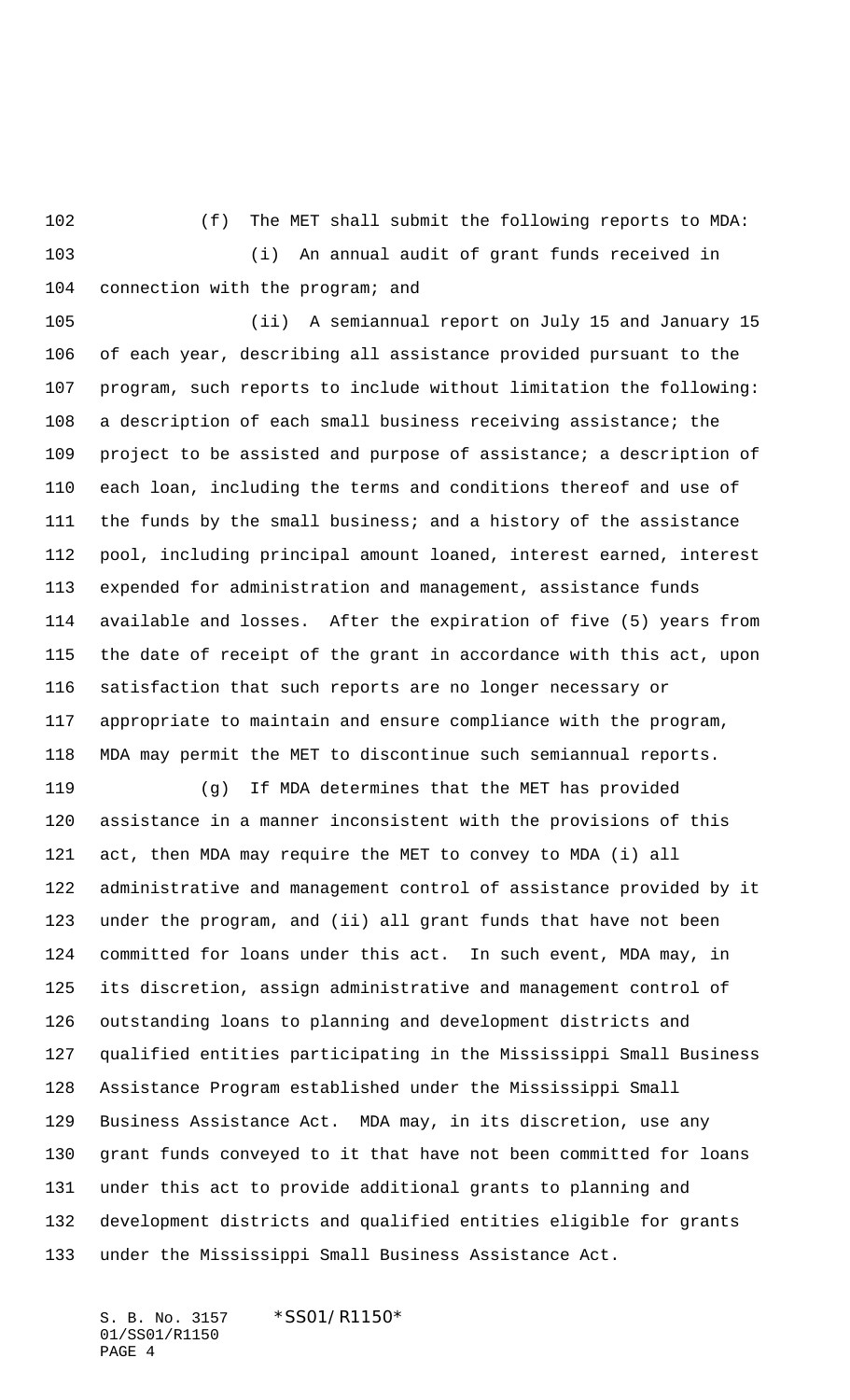(f) The MET shall submit the following reports to MDA: (i) An annual audit of grant funds received in 104 connection with the program; and

 (ii) A semiannual report on July 15 and January 15 of each year, describing all assistance provided pursuant to the program, such reports to include without limitation the following: a description of each small business receiving assistance; the project to be assisted and purpose of assistance; a description of each loan, including the terms and conditions thereof and use of the funds by the small business; and a history of the assistance pool, including principal amount loaned, interest earned, interest expended for administration and management, assistance funds available and losses. After the expiration of five (5) years from the date of receipt of the grant in accordance with this act, upon satisfaction that such reports are no longer necessary or appropriate to maintain and ensure compliance with the program, MDA may permit the MET to discontinue such semiannual reports.

 (g) If MDA determines that the MET has provided assistance in a manner inconsistent with the provisions of this act, then MDA may require the MET to convey to MDA (i) all administrative and management control of assistance provided by it under the program, and (ii) all grant funds that have not been committed for loans under this act. In such event, MDA may, in its discretion, assign administrative and management control of outstanding loans to planning and development districts and qualified entities participating in the Mississippi Small Business Assistance Program established under the Mississippi Small Business Assistance Act. MDA may, in its discretion, use any grant funds conveyed to it that have not been committed for loans under this act to provide additional grants to planning and development districts and qualified entities eligible for grants under the Mississippi Small Business Assistance Act.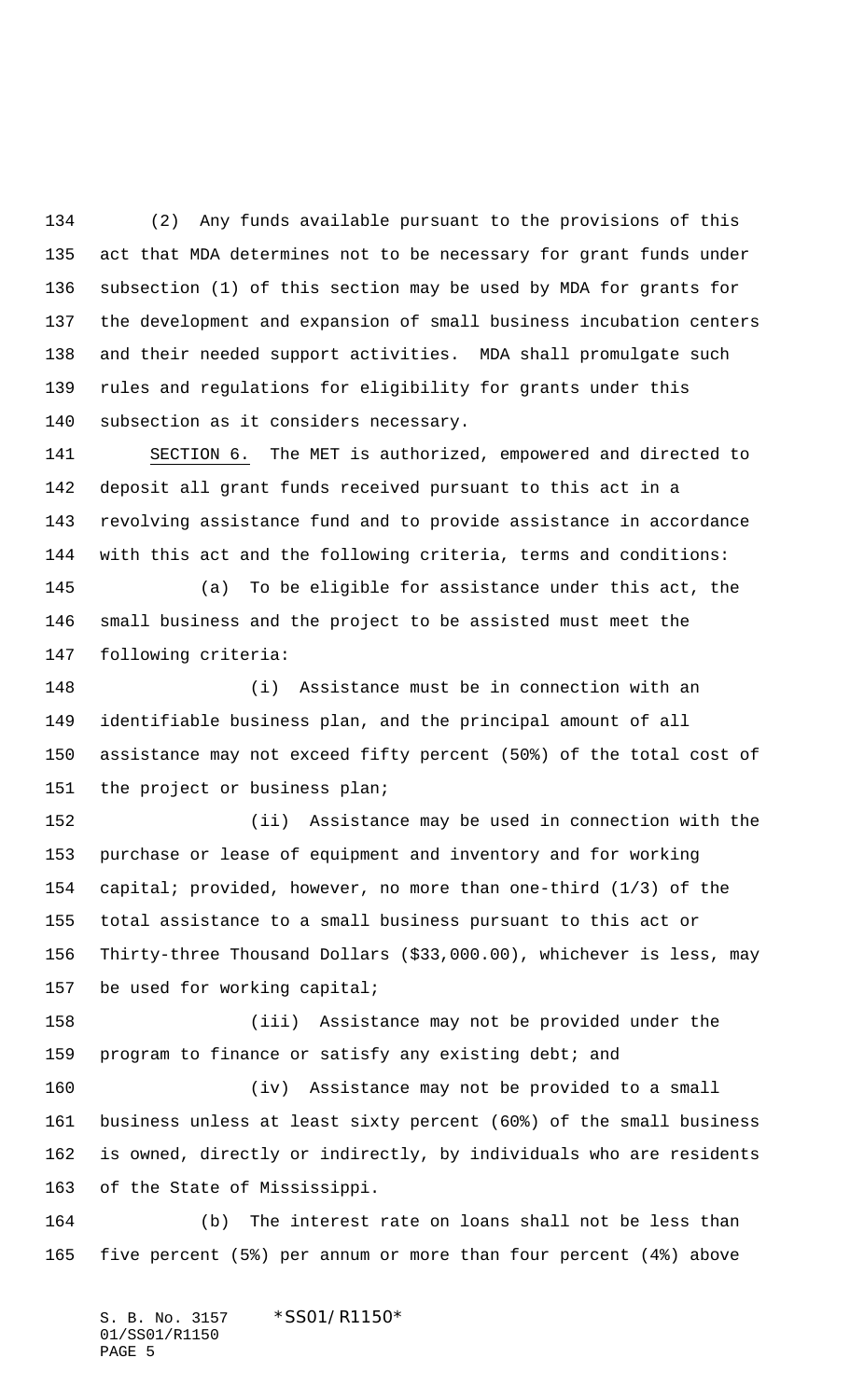(2) Any funds available pursuant to the provisions of this act that MDA determines not to be necessary for grant funds under subsection (1) of this section may be used by MDA for grants for the development and expansion of small business incubation centers and their needed support activities. MDA shall promulgate such rules and regulations for eligibility for grants under this subsection as it considers necessary.

 SECTION 6. The MET is authorized, empowered and directed to deposit all grant funds received pursuant to this act in a revolving assistance fund and to provide assistance in accordance with this act and the following criteria, terms and conditions:

 (a) To be eligible for assistance under this act, the small business and the project to be assisted must meet the following criteria:

 (i) Assistance must be in connection with an identifiable business plan, and the principal amount of all assistance may not exceed fifty percent (50%) of the total cost of the project or business plan;

 (ii) Assistance may be used in connection with the purchase or lease of equipment and inventory and for working capital; provided, however, no more than one-third (1/3) of the total assistance to a small business pursuant to this act or Thirty-three Thousand Dollars (\$33,000.00), whichever is less, may be used for working capital;

 (iii) Assistance may not be provided under the program to finance or satisfy any existing debt; and

 (iv) Assistance may not be provided to a small business unless at least sixty percent (60%) of the small business is owned, directly or indirectly, by individuals who are residents of the State of Mississippi.

 (b) The interest rate on loans shall not be less than five percent (5%) per annum or more than four percent (4%) above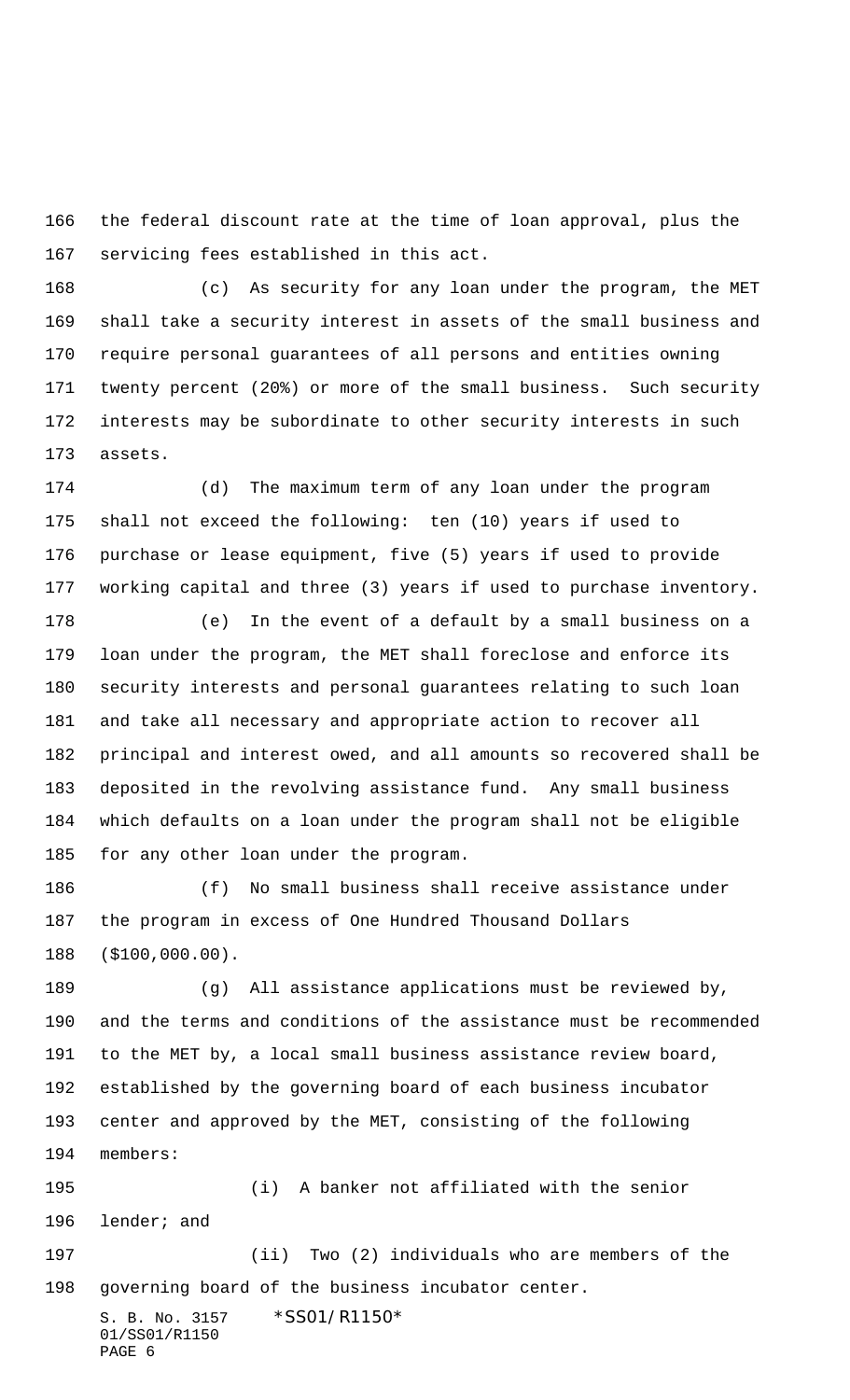the federal discount rate at the time of loan approval, plus the servicing fees established in this act.

 (c) As security for any loan under the program, the MET shall take a security interest in assets of the small business and require personal guarantees of all persons and entities owning twenty percent (20%) or more of the small business. Such security interests may be subordinate to other security interests in such assets.

 (d) The maximum term of any loan under the program shall not exceed the following: ten (10) years if used to purchase or lease equipment, five (5) years if used to provide working capital and three (3) years if used to purchase inventory.

 (e) In the event of a default by a small business on a loan under the program, the MET shall foreclose and enforce its security interests and personal guarantees relating to such loan and take all necessary and appropriate action to recover all principal and interest owed, and all amounts so recovered shall be deposited in the revolving assistance fund. Any small business which defaults on a loan under the program shall not be eligible for any other loan under the program.

 (f) No small business shall receive assistance under the program in excess of One Hundred Thousand Dollars (\$100,000.00).

 (g) All assistance applications must be reviewed by, and the terms and conditions of the assistance must be recommended to the MET by, a local small business assistance review board, established by the governing board of each business incubator center and approved by the MET, consisting of the following members:

 (i) A banker not affiliated with the senior lender; and

 (ii) Two (2) individuals who are members of the governing board of the business incubator center.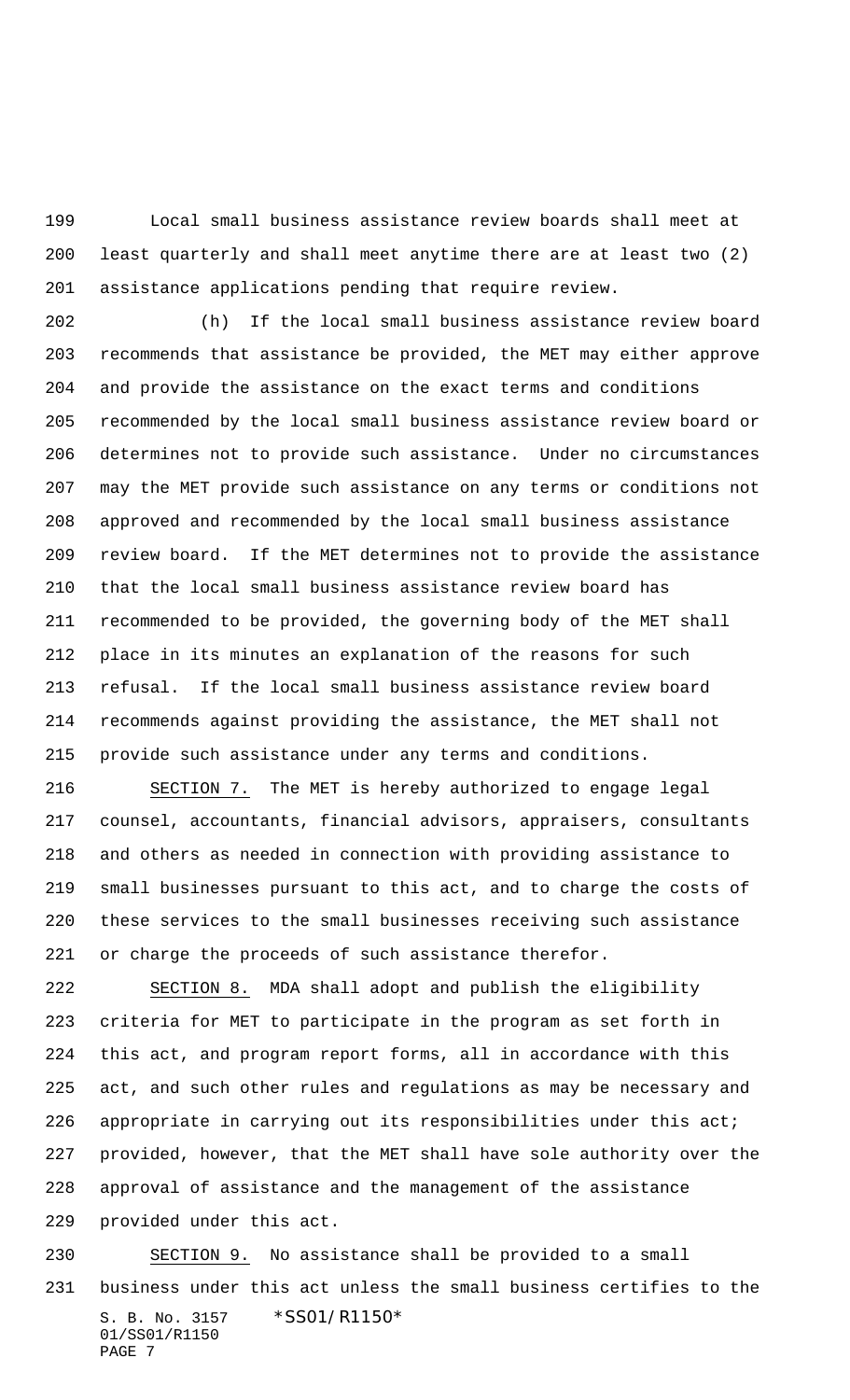Local small business assistance review boards shall meet at least quarterly and shall meet anytime there are at least two (2) assistance applications pending that require review.

 (h) If the local small business assistance review board recommends that assistance be provided, the MET may either approve and provide the assistance on the exact terms and conditions recommended by the local small business assistance review board or determines not to provide such assistance. Under no circumstances may the MET provide such assistance on any terms or conditions not approved and recommended by the local small business assistance review board. If the MET determines not to provide the assistance that the local small business assistance review board has recommended to be provided, the governing body of the MET shall place in its minutes an explanation of the reasons for such refusal. If the local small business assistance review board recommends against providing the assistance, the MET shall not provide such assistance under any terms and conditions.

 SECTION 7. The MET is hereby authorized to engage legal counsel, accountants, financial advisors, appraisers, consultants and others as needed in connection with providing assistance to small businesses pursuant to this act, and to charge the costs of these services to the small businesses receiving such assistance or charge the proceeds of such assistance therefor.

 SECTION 8. MDA shall adopt and publish the eligibility criteria for MET to participate in the program as set forth in this act, and program report forms, all in accordance with this act, and such other rules and regulations as may be necessary and 226 appropriate in carrying out its responsibilities under this act; provided, however, that the MET shall have sole authority over the approval of assistance and the management of the assistance provided under this act.

S. B. No. 3157 \* SS01/R1150\* 01/SS01/R1150 PAGE 7 SECTION 9. No assistance shall be provided to a small business under this act unless the small business certifies to the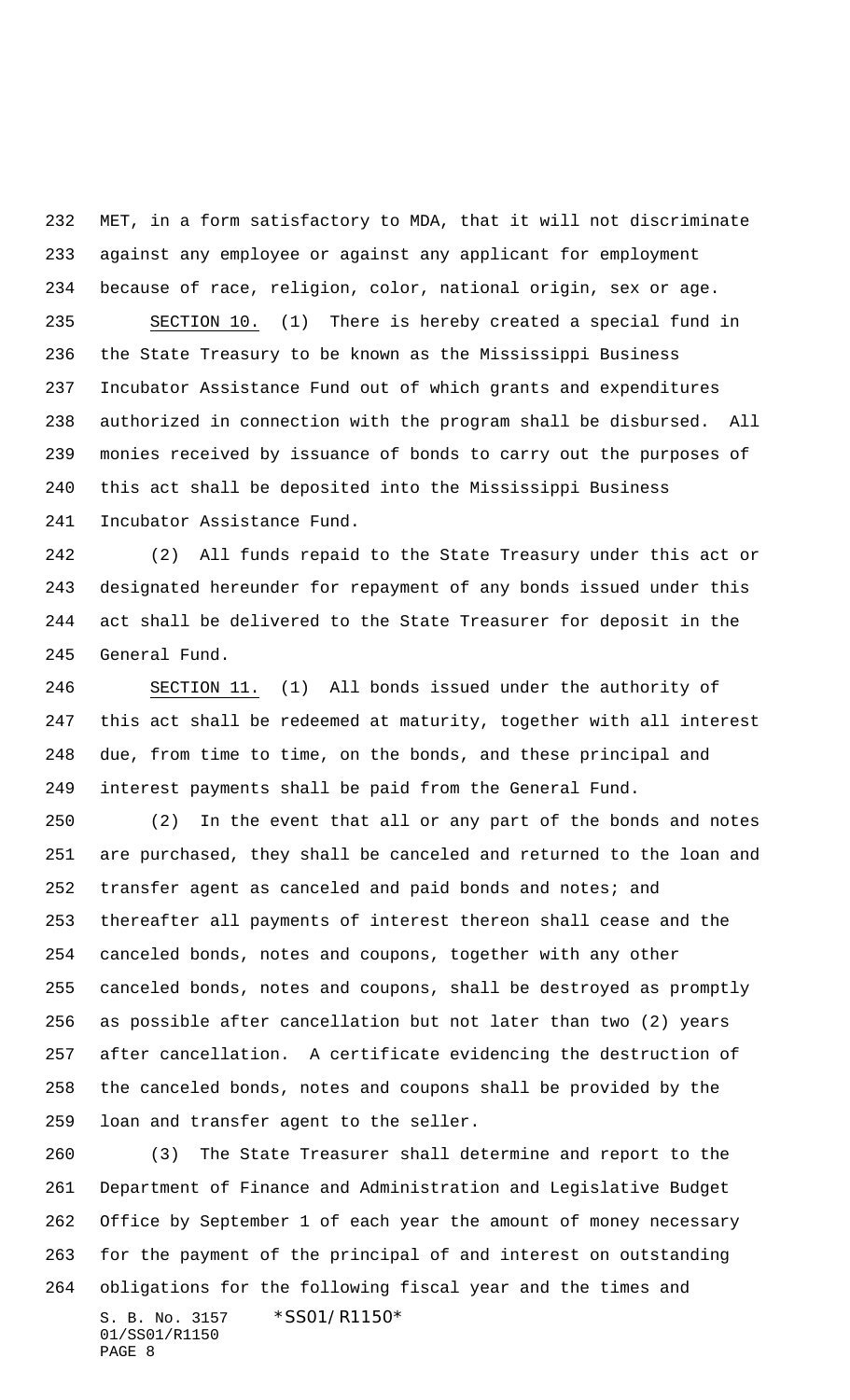MET, in a form satisfactory to MDA, that it will not discriminate against any employee or against any applicant for employment because of race, religion, color, national origin, sex or age.

 SECTION 10. (1) There is hereby created a special fund in the State Treasury to be known as the Mississippi Business Incubator Assistance Fund out of which grants and expenditures authorized in connection with the program shall be disbursed. All monies received by issuance of bonds to carry out the purposes of this act shall be deposited into the Mississippi Business Incubator Assistance Fund.

 (2) All funds repaid to the State Treasury under this act or designated hereunder for repayment of any bonds issued under this act shall be delivered to the State Treasurer for deposit in the General Fund.

 SECTION 11. (1) All bonds issued under the authority of this act shall be redeemed at maturity, together with all interest due, from time to time, on the bonds, and these principal and interest payments shall be paid from the General Fund.

 (2) In the event that all or any part of the bonds and notes are purchased, they shall be canceled and returned to the loan and transfer agent as canceled and paid bonds and notes; and thereafter all payments of interest thereon shall cease and the canceled bonds, notes and coupons, together with any other canceled bonds, notes and coupons, shall be destroyed as promptly as possible after cancellation but not later than two (2) years after cancellation. A certificate evidencing the destruction of the canceled bonds, notes and coupons shall be provided by the loan and transfer agent to the seller.

S. B. No. 3157 \* SS01/R1150\* 01/SS01/R1150 PAGE 8 (3) The State Treasurer shall determine and report to the Department of Finance and Administration and Legislative Budget Office by September 1 of each year the amount of money necessary for the payment of the principal of and interest on outstanding obligations for the following fiscal year and the times and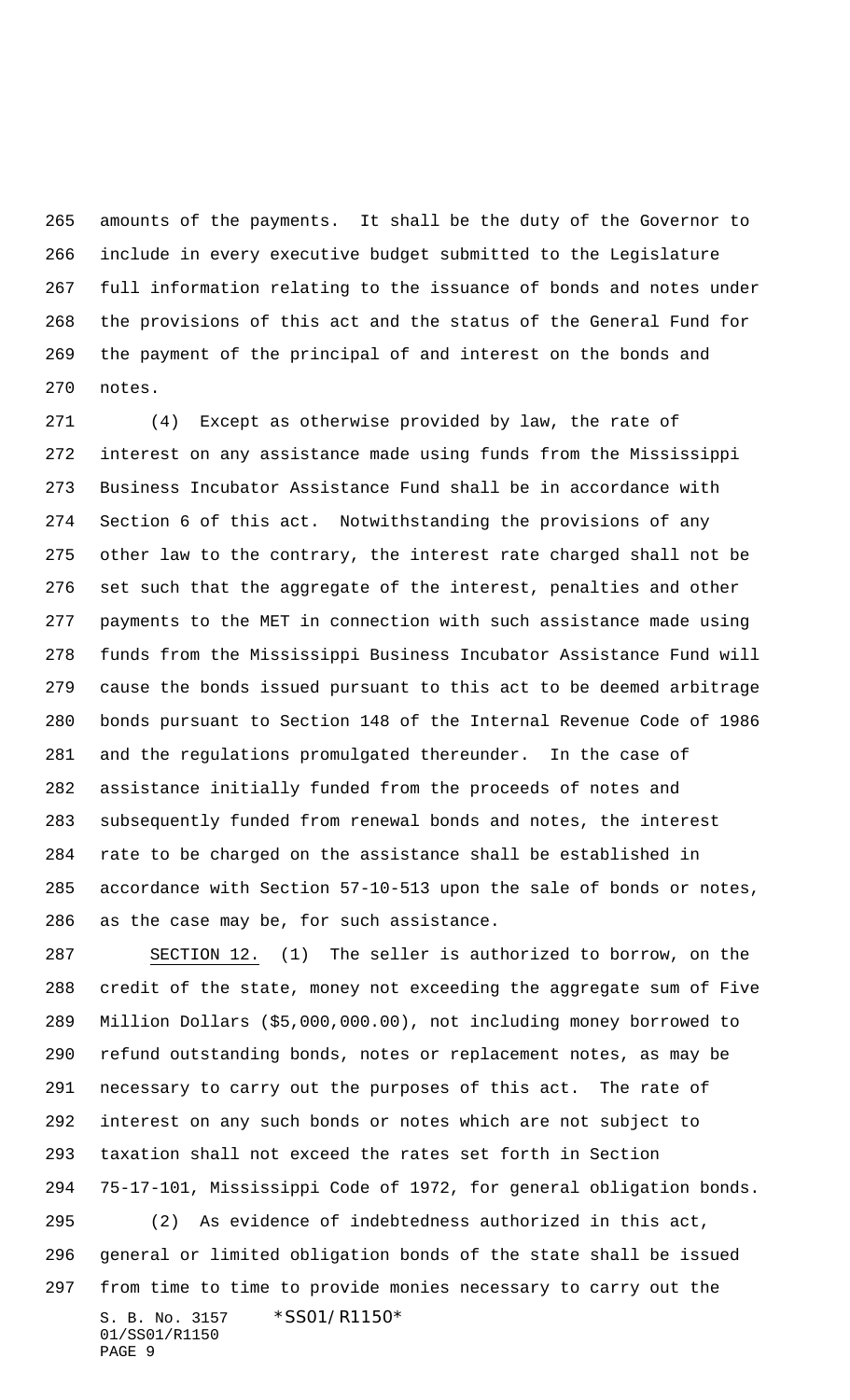amounts of the payments. It shall be the duty of the Governor to include in every executive budget submitted to the Legislature full information relating to the issuance of bonds and notes under the provisions of this act and the status of the General Fund for the payment of the principal of and interest on the bonds and notes.

 (4) Except as otherwise provided by law, the rate of interest on any assistance made using funds from the Mississippi Business Incubator Assistance Fund shall be in accordance with Section 6 of this act. Notwithstanding the provisions of any other law to the contrary, the interest rate charged shall not be set such that the aggregate of the interest, penalties and other payments to the MET in connection with such assistance made using funds from the Mississippi Business Incubator Assistance Fund will cause the bonds issued pursuant to this act to be deemed arbitrage bonds pursuant to Section 148 of the Internal Revenue Code of 1986 and the regulations promulgated thereunder. In the case of assistance initially funded from the proceeds of notes and subsequently funded from renewal bonds and notes, the interest rate to be charged on the assistance shall be established in accordance with Section 57-10-513 upon the sale of bonds or notes, as the case may be, for such assistance.

S. B. No. 3157 \*SS01/R1150\* 01/SS01/R1150 PAGE 9 SECTION 12. (1) The seller is authorized to borrow, on the credit of the state, money not exceeding the aggregate sum of Five Million Dollars (\$5,000,000.00), not including money borrowed to refund outstanding bonds, notes or replacement notes, as may be necessary to carry out the purposes of this act. The rate of interest on any such bonds or notes which are not subject to taxation shall not exceed the rates set forth in Section 75-17-101, Mississippi Code of 1972, for general obligation bonds. (2) As evidence of indebtedness authorized in this act, general or limited obligation bonds of the state shall be issued from time to time to provide monies necessary to carry out the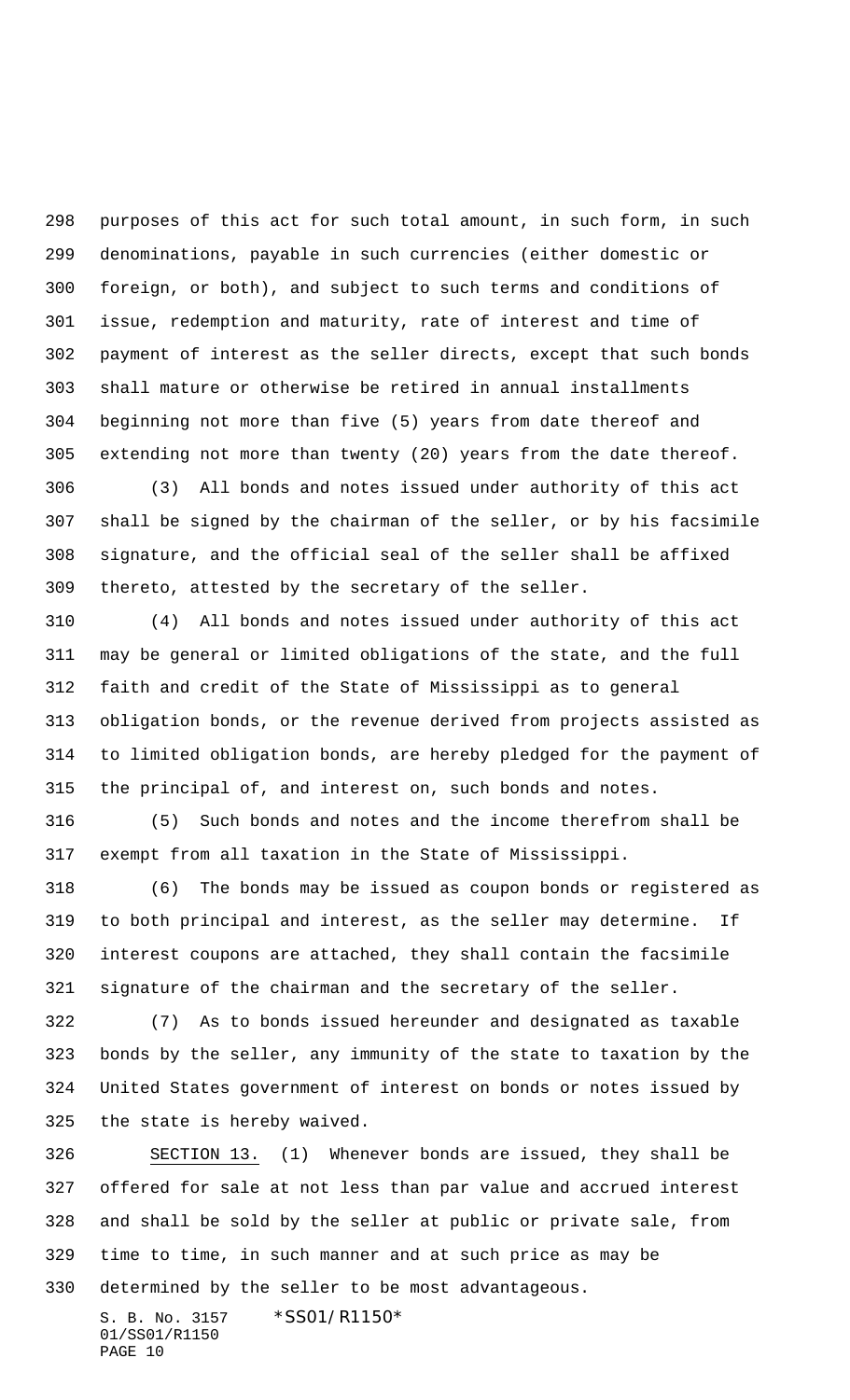purposes of this act for such total amount, in such form, in such denominations, payable in such currencies (either domestic or foreign, or both), and subject to such terms and conditions of issue, redemption and maturity, rate of interest and time of payment of interest as the seller directs, except that such bonds shall mature or otherwise be retired in annual installments beginning not more than five (5) years from date thereof and extending not more than twenty (20) years from the date thereof.

 (3) All bonds and notes issued under authority of this act shall be signed by the chairman of the seller, or by his facsimile signature, and the official seal of the seller shall be affixed thereto, attested by the secretary of the seller.

 (4) All bonds and notes issued under authority of this act may be general or limited obligations of the state, and the full faith and credit of the State of Mississippi as to general obligation bonds, or the revenue derived from projects assisted as to limited obligation bonds, are hereby pledged for the payment of the principal of, and interest on, such bonds and notes.

 (5) Such bonds and notes and the income therefrom shall be exempt from all taxation in the State of Mississippi.

 (6) The bonds may be issued as coupon bonds or registered as to both principal and interest, as the seller may determine. If interest coupons are attached, they shall contain the facsimile signature of the chairman and the secretary of the seller.

 (7) As to bonds issued hereunder and designated as taxable bonds by the seller, any immunity of the state to taxation by the United States government of interest on bonds or notes issued by the state is hereby waived.

 SECTION 13. (1) Whenever bonds are issued, they shall be offered for sale at not less than par value and accrued interest and shall be sold by the seller at public or private sale, from time to time, in such manner and at such price as may be determined by the seller to be most advantageous.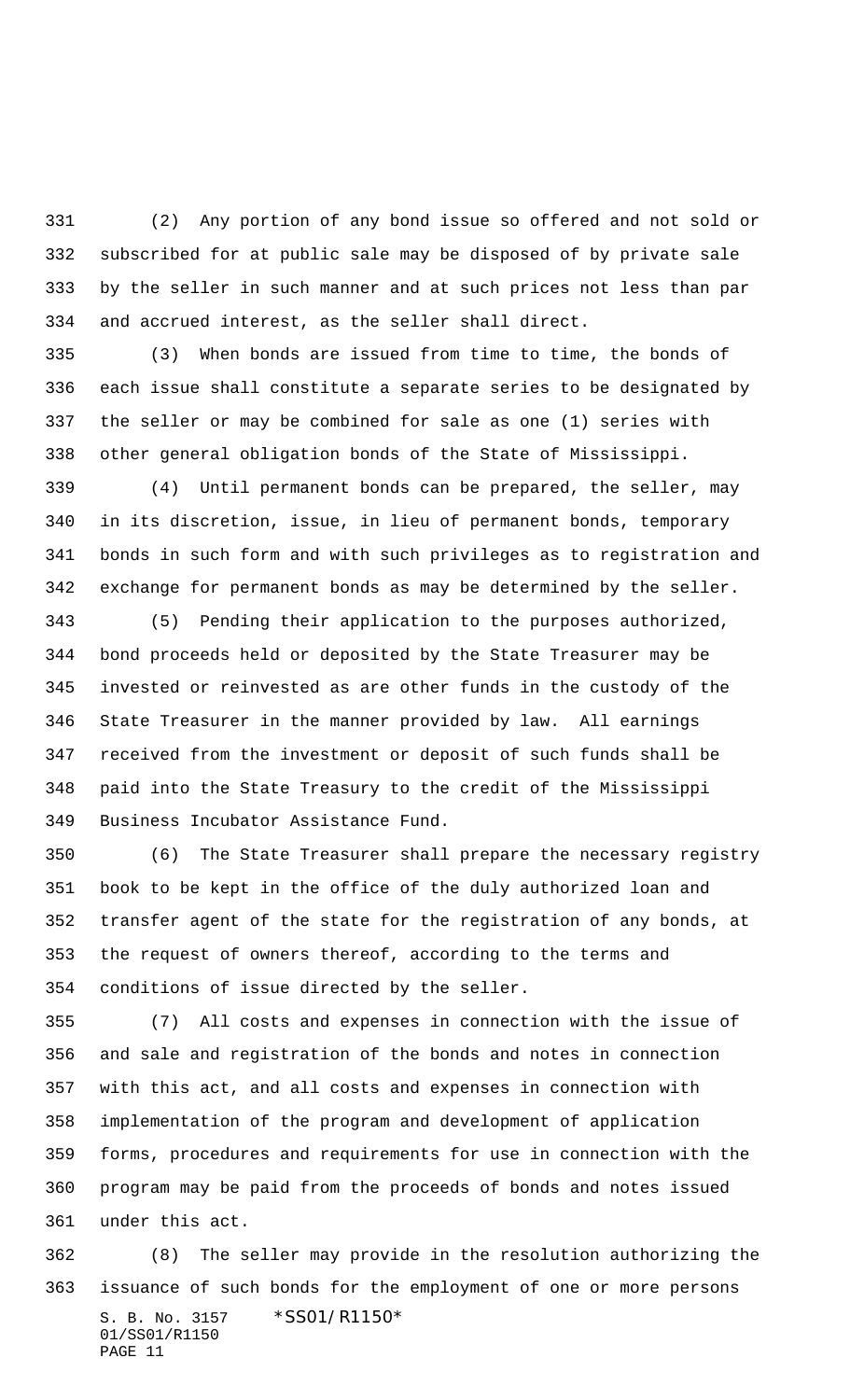(2) Any portion of any bond issue so offered and not sold or subscribed for at public sale may be disposed of by private sale by the seller in such manner and at such prices not less than par and accrued interest, as the seller shall direct.

 (3) When bonds are issued from time to time, the bonds of each issue shall constitute a separate series to be designated by the seller or may be combined for sale as one (1) series with other general obligation bonds of the State of Mississippi.

 (4) Until permanent bonds can be prepared, the seller, may in its discretion, issue, in lieu of permanent bonds, temporary bonds in such form and with such privileges as to registration and exchange for permanent bonds as may be determined by the seller.

 (5) Pending their application to the purposes authorized, bond proceeds held or deposited by the State Treasurer may be invested or reinvested as are other funds in the custody of the State Treasurer in the manner provided by law. All earnings received from the investment or deposit of such funds shall be paid into the State Treasury to the credit of the Mississippi Business Incubator Assistance Fund.

 (6) The State Treasurer shall prepare the necessary registry book to be kept in the office of the duly authorized loan and transfer agent of the state for the registration of any bonds, at the request of owners thereof, according to the terms and conditions of issue directed by the seller.

 (7) All costs and expenses in connection with the issue of and sale and registration of the bonds and notes in connection with this act, and all costs and expenses in connection with implementation of the program and development of application forms, procedures and requirements for use in connection with the program may be paid from the proceeds of bonds and notes issued under this act.

S. B. No. 3157 \* SS01/R1150\* 01/SS01/R1150 PAGE 11 (8) The seller may provide in the resolution authorizing the issuance of such bonds for the employment of one or more persons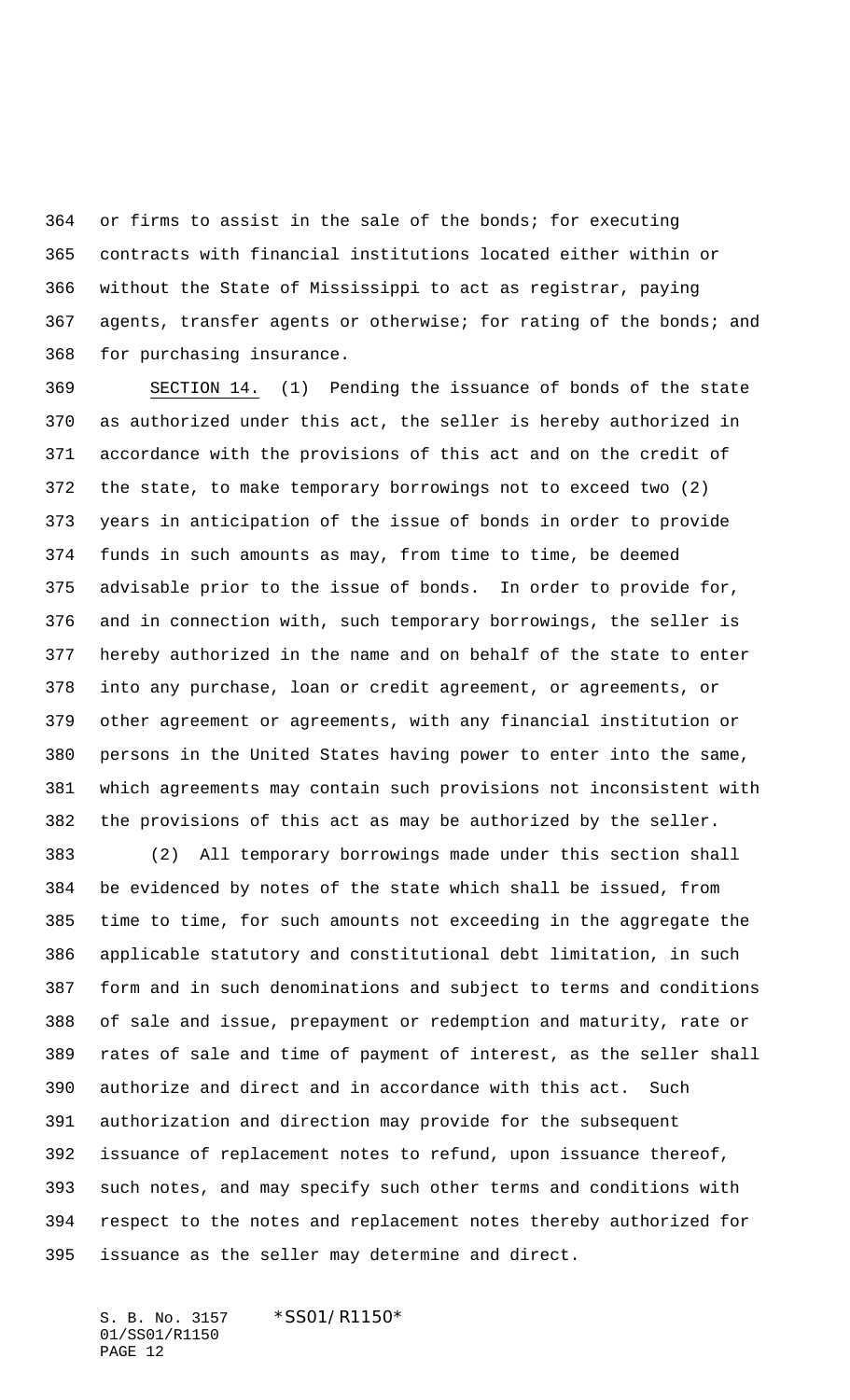or firms to assist in the sale of the bonds; for executing contracts with financial institutions located either within or without the State of Mississippi to act as registrar, paying agents, transfer agents or otherwise; for rating of the bonds; and for purchasing insurance.

 SECTION 14. (1) Pending the issuance of bonds of the state as authorized under this act, the seller is hereby authorized in accordance with the provisions of this act and on the credit of the state, to make temporary borrowings not to exceed two (2) years in anticipation of the issue of bonds in order to provide funds in such amounts as may, from time to time, be deemed advisable prior to the issue of bonds. In order to provide for, and in connection with, such temporary borrowings, the seller is hereby authorized in the name and on behalf of the state to enter into any purchase, loan or credit agreement, or agreements, or other agreement or agreements, with any financial institution or persons in the United States having power to enter into the same, which agreements may contain such provisions not inconsistent with the provisions of this act as may be authorized by the seller.

 (2) All temporary borrowings made under this section shall be evidenced by notes of the state which shall be issued, from time to time, for such amounts not exceeding in the aggregate the applicable statutory and constitutional debt limitation, in such form and in such denominations and subject to terms and conditions of sale and issue, prepayment or redemption and maturity, rate or rates of sale and time of payment of interest, as the seller shall authorize and direct and in accordance with this act. Such authorization and direction may provide for the subsequent issuance of replacement notes to refund, upon issuance thereof, such notes, and may specify such other terms and conditions with respect to the notes and replacement notes thereby authorized for issuance as the seller may determine and direct.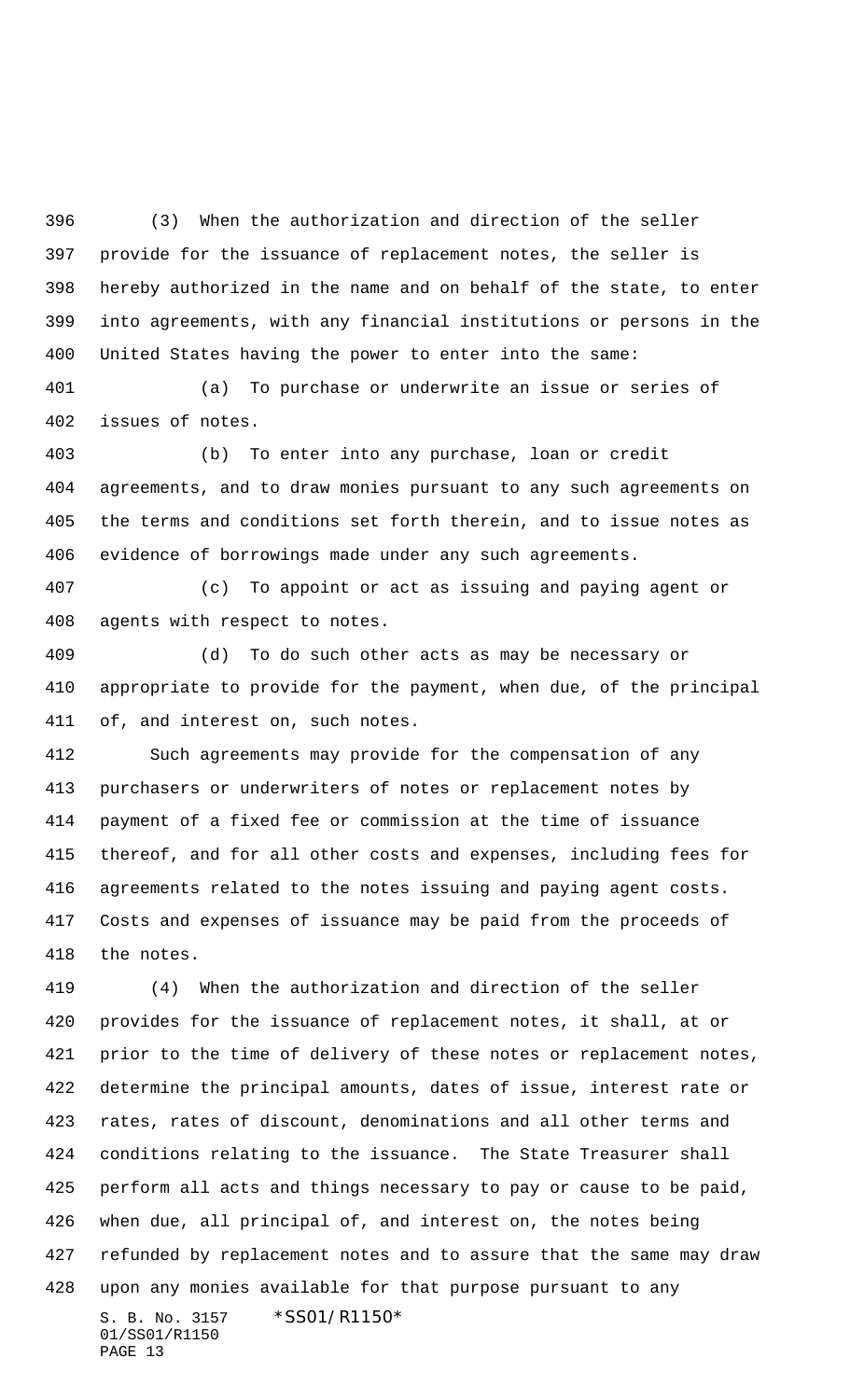(3) When the authorization and direction of the seller provide for the issuance of replacement notes, the seller is hereby authorized in the name and on behalf of the state, to enter into agreements, with any financial institutions or persons in the United States having the power to enter into the same:

 (a) To purchase or underwrite an issue or series of issues of notes.

 (b) To enter into any purchase, loan or credit agreements, and to draw monies pursuant to any such agreements on the terms and conditions set forth therein, and to issue notes as evidence of borrowings made under any such agreements.

 (c) To appoint or act as issuing and paying agent or agents with respect to notes.

 (d) To do such other acts as may be necessary or appropriate to provide for the payment, when due, of the principal of, and interest on, such notes.

 Such agreements may provide for the compensation of any purchasers or underwriters of notes or replacement notes by payment of a fixed fee or commission at the time of issuance thereof, and for all other costs and expenses, including fees for agreements related to the notes issuing and paying agent costs. Costs and expenses of issuance may be paid from the proceeds of the notes.

S. B. No. 3157 \* SS01/R1150\* 01/SS01/R1150 (4) When the authorization and direction of the seller provides for the issuance of replacement notes, it shall, at or prior to the time of delivery of these notes or replacement notes, determine the principal amounts, dates of issue, interest rate or rates, rates of discount, denominations and all other terms and conditions relating to the issuance. The State Treasurer shall perform all acts and things necessary to pay or cause to be paid, when due, all principal of, and interest on, the notes being refunded by replacement notes and to assure that the same may draw upon any monies available for that purpose pursuant to any

PAGE 13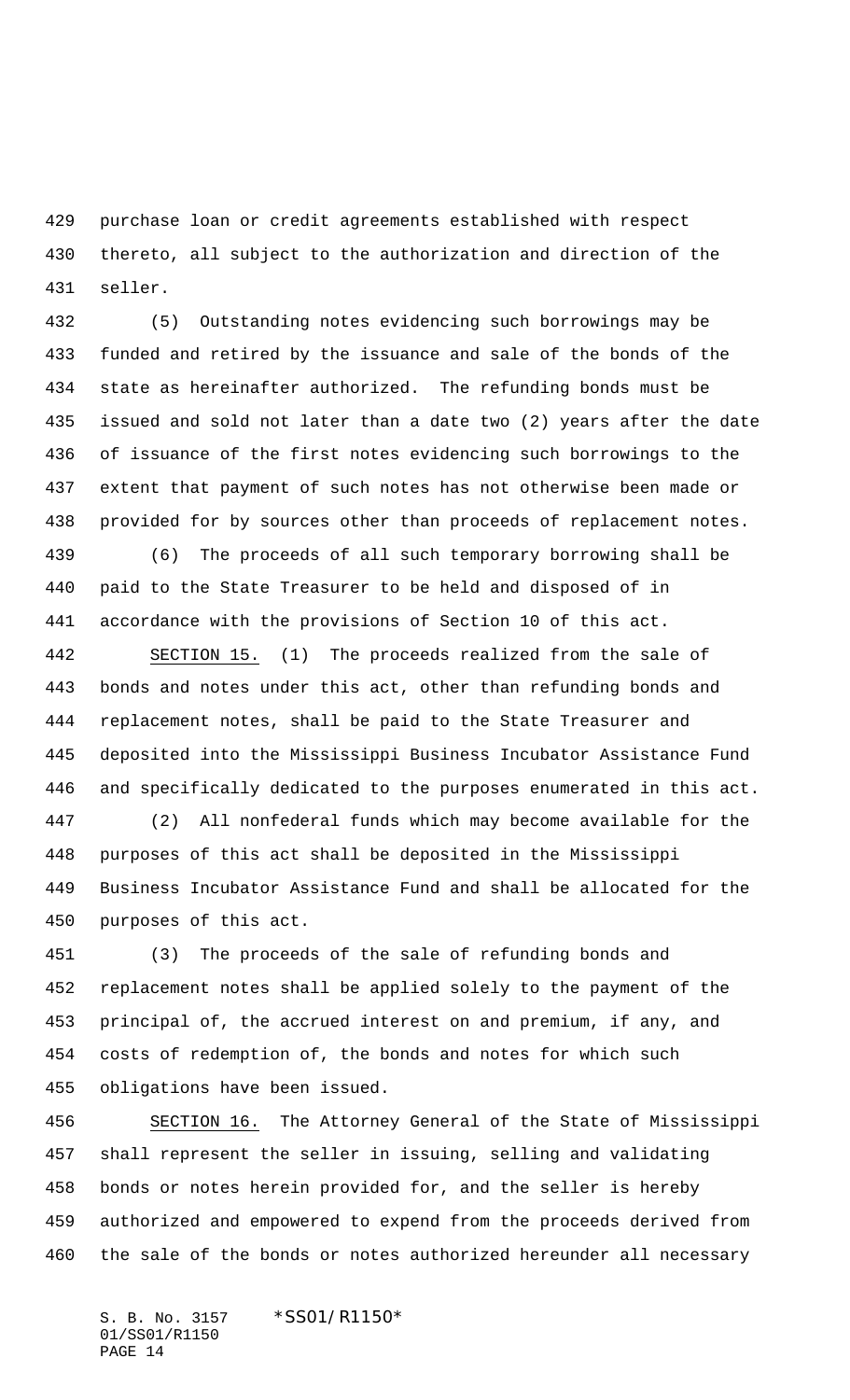purchase loan or credit agreements established with respect thereto, all subject to the authorization and direction of the seller.

 (5) Outstanding notes evidencing such borrowings may be funded and retired by the issuance and sale of the bonds of the state as hereinafter authorized. The refunding bonds must be issued and sold not later than a date two (2) years after the date of issuance of the first notes evidencing such borrowings to the extent that payment of such notes has not otherwise been made or provided for by sources other than proceeds of replacement notes.

 (6) The proceeds of all such temporary borrowing shall be paid to the State Treasurer to be held and disposed of in accordance with the provisions of Section 10 of this act.

 SECTION 15. (1) The proceeds realized from the sale of bonds and notes under this act, other than refunding bonds and replacement notes, shall be paid to the State Treasurer and deposited into the Mississippi Business Incubator Assistance Fund and specifically dedicated to the purposes enumerated in this act.

 (2) All nonfederal funds which may become available for the purposes of this act shall be deposited in the Mississippi Business Incubator Assistance Fund and shall be allocated for the purposes of this act.

 (3) The proceeds of the sale of refunding bonds and replacement notes shall be applied solely to the payment of the principal of, the accrued interest on and premium, if any, and costs of redemption of, the bonds and notes for which such obligations have been issued.

 SECTION 16. The Attorney General of the State of Mississippi shall represent the seller in issuing, selling and validating bonds or notes herein provided for, and the seller is hereby authorized and empowered to expend from the proceeds derived from the sale of the bonds or notes authorized hereunder all necessary